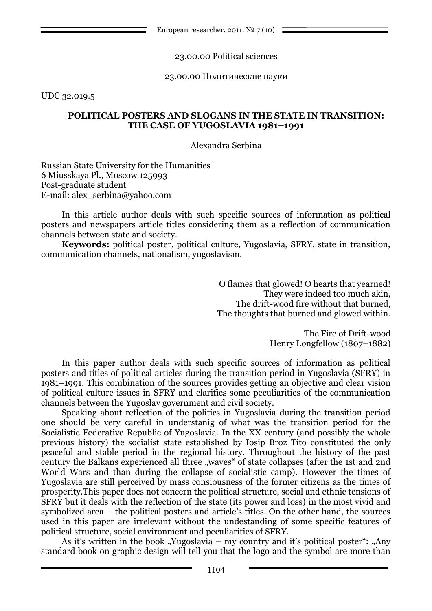European researcher. 2011.  $N^{\circ}$  7 (10) =

23.00.00 Political sciences

23.00.00 Политические науки

UDC 32.019.5

## **POLITICAL POSTERS AND SLOGANS IN THE STATE IN TRANSITION: THE CASE OF YUGOSLAVIA 1981–1991**

Alexandra Serbina

Russian State University for the Humanities 6 Miusskaya Pl., Moscow 125993 Post-graduate student E-mail: alex\_serbina@yahoo.com

In this article author deals with such specific sources of information as political posters and newspapers article titles considering them as a reflection of communication channels between state and society.

**Keywords:** political poster, political culture, Yugoslavia, SFRY, state in transition, communication channels, nationalism, yugoslavism.

> O flames that glowed! O hearts that yearned! They were indeed too much akin, The drift-wood fire without that burned, The thoughts that burned and glowed within.

> > The Fire of Drift-wood Henry Longfellow (1807–1882)

In this paper author deals with such specific sources of information as political posters and titles of political articles during the transition period in Yugoslavia (SFRY) in 1981–1991. This combination of the sources provides getting an objective and clear vision of political culture issues in SFRY and clarifies some peculiarities of the communication channels between the Yugoslav government and civil society.

Speaking about reflection of the politics in Yugoslavia during the transition period one should be very careful in understanig of what was the transition period for the Socialistic Federative Republic of Yugoslavia. In the XX century (and possibly the whole previous history) the socialist state established by Iosip Broz Tito constituted the only peaceful and stable period in the regional history. Throughout the history of the past century the Balkans experienced all three "waves" of state collapses (after the 1st and 2nd World Wars and than during the collapse of socialistic camp). However the times of Yugoslavia are still perceived by mass consiousness of the former citizens as the times of prosperity.This paper does not concern the political structure, social and ethnic tensions of SFRY but it deals with the reflection of the state (its power and loss) in the most vivid and symbolized area – the political posters and article's titles. On the other hand, the sources used in this paper are irrelevant without the undestanding of some specific features of political structure, social environment and peculiarities of SFRY.

As it's written in the book "Yugoslavia – my country and it's political poster": "Any standard book on graphic design will tell you that the logo and the symbol are more than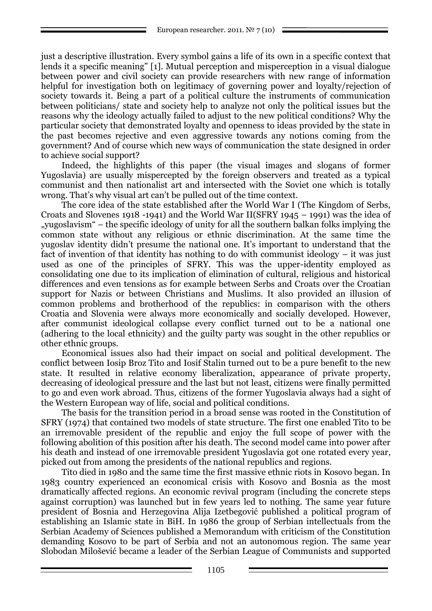just a descriptive illustration. Every symbol gains a life of its own in a specific context that lends it a specific meaning" [1]. Mutual perception and misperception in a visual dialogue between power and civil society can provide researchers with new range of information helpful for investigation both on legitimacy of governing power and loyalty/rejection of society towards it. Being a part of a political culture the instruments of communication between politicians/ state and society help to analyze not only the political issues but the reasons why the ideology actually failed to adjust to the new political conditions? Why the particular society that demonstrated loyalty and openness to ideas provided by the state in the past becomes rejective and even aggressive towards any notions coming from the government? And of course which new ways of communication the state designed in order to achieve social support?

Indeed, the highlights of this paper (the visual images and slogans of former Yugoslavia) are usually mispercepted by the foreign observers and treated as a typical communist and then nationalist art and intersected with the Soviet one which is totally wrong. That's why visual art can't be pulled out of the time context.

The core idea of the state established after the World War I (The Kingdom of Serbs, Croats and Slovenes 1918 -1941) and the World War II(SFRY 1945 – 1991) was the idea of "yugoslavism― – the specific ideology of unity for all the southern balkan folks implying the common state without any religious or ethnic discrimination. At the same time the yugoslav identity didn't presume the national one. It's important to understand that the fact of invention of that identity has nothing to do with communist ideology – it was just used as one of the principles of SFRY. This was the upper-identity employed as consolidating one due to its implication of elimination of cultural, religious and historical differences and even tensions as for example between Serbs and Croats over the Croatian support for Nazis or between Christians and Muslims. It also provided an illusion of common problems and brotherhood of the republics: in comparison with the others Croatia and Slovenia were always more economically and socially developed. However, after communist ideological collapse every conflict turned out to be a national one (adhering to the local ethnicity) and the guilty party was sought in the other republics or other ethnic groups.

Economical issues also had their impact on social and political development. The conflict between Iosip Broz Tito and Iosif Stalin turned out to be a pure benefit to the new state. It resulted in relative economy liberalization, appearance of private property, decreasing of ideological pressure and the last but not least, citizens were finally permitted to go and even work abroad. Thus, citizens of the former Yugoslavia always had a sight of the Western European way of life, social and political conditions.

The basis for the transition period in a broad sense was rooted in the Constitution of SFRY (1974) that contained two models of state structure. The first one enabled Tito to be an irremovable president of the republic and enjoy the full scope of power with the following abolition of this position after his death. The second model came into power after his death and instead of one irremovable president Yugoslavia got one rotated every year, picked out from among the presidents of the national republics and regions.

Tito died in 1980 and the same time the first massive ethnic riots in Kosovo began. In 1983 country experienced an economical crisis with Kosovo and Bosnia as the most dramatically affected regions. An economic revival program (including the concrete steps against corruption) was launched but in few years led to nothing. The same year future president of Bosnia and Herzegovina Alija Izetbegović published a political program of establishing an Islamic state in BiH. In 1986 the group of Serbian intellectuals from the Serbian Academy of Sciences published a Memorandum with criticism of the Constitution demanding Kosovo to be part of Serbia and not an autonomous region. The same year Slobodan Milošević became a leader of the Serbian League of Communists and supported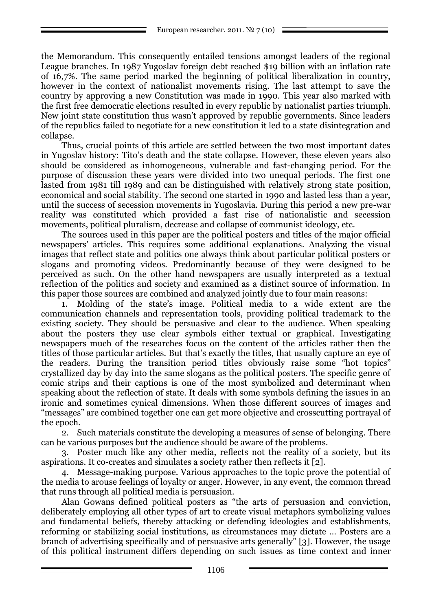the Memorandum. This consequently entailed tensions amongst leaders of the regional League branches. In 1987 Yugoslav foreign debt reached \$19 billion with an inflation rate of 16,7%. The same period marked the beginning of political liberalization in country, however in the context of nationalist movements rising. The last attempt to save the country by approving a new Constitution was made in 1990. This year also marked with the first free democratic elections resulted in every republic by nationalist parties triumph. New joint state constitution thus wasn't approved by republic governments. Since leaders of the republics failed to negotiate for a new constitution it led to a state disintegration and collapse.

Thus, crucial points of this article are settled between the two most important dates in Yugoslav history: Tito's death and the state collapse. However, these eleven years also should be considered as inhomogeneous, vulnerable and fast-changing period. For the purpose of discussion these years were divided into two unequal periods. The first one lasted from 1981 till 1989 and can be distinguished with relatively strong state position, economical and social stability. The second one started in 1990 and lasted less than a year, until the success of secession movements in Yugoslavia. During this period a new pre-war reality was constituted which provided a fast rise of nationalistic and secession movements, political pluralism, decrease and collapse of communist ideology, etc.

The sources used in this paper are the political posters and titles of the major official newspapers' articles. This requires some additional explanations. Analyzing the visual images that reflect state and politics one always think about particular political posters or slogans and promoting videos. Predominantly because of they were designed to be perceived as such. On the other hand newspapers are usually interpreted as a textual reflection of the politics and society and examined as a distinct source of information. In this paper those sources are combined and analyzed jointly due to four main reasons:

1. Molding of the state's image. Political media to a wide extent are the communication channels and representation tools, providing political trademark to the existing society. They should be persuasive and clear to the audience. When speaking about the posters they use clear symbols either textual or graphical. Investigating newspapers much of the researches focus on the content of the articles rather then the titles of those particular articles. But that's exactly the titles, that usually capture an eye of the readers. During the transition period titles obviously raise some "hot topics" crystallized day by day into the same slogans as the political posters. The specific genre of comic strips and their captions is one of the most symbolized and determinant when speaking about the reflection of state. It deals with some symbols defining the issues in an ironic and sometimes cynical dimensions. When those different sources of images and "messages" are combined together one can get more objective and crosscutting portrayal of the epoch.

2. Such materials constitute the developing a measures of sense of belonging. There can be various purposes but the audience should be aware of the problems.

3. Poster much like any other media, reflects not the reality of a society, but its aspirations. It co-creates and simulates a society rather then reflects it [2].

4. Message-making purpose. Various approaches to the topic prove the potential of the media to arouse feelings of loyalty or anger. However, in any event, the common thread that runs through all political media is persuasion.

Alan Gowans defined political posters as "the arts of persuasion and conviction, deliberately employing all other types of art to create visual metaphors symbolizing values and fundamental beliefs, thereby attacking or defending ideologies and establishments, reforming or stabilizing social institutions, as circumstances may dictate … Posters are a branch of advertising specifically and of persuasive arts generally" [3]. However, the usage of this political instrument differs depending on such issues as time context and inner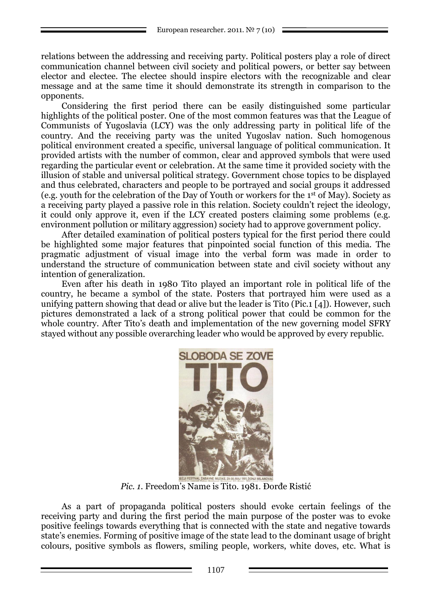relations between the addressing and receiving party. Political posters play a role of direct communication channel between civil society and political powers, or better say between elector and electee. The electee should inspire electors with the recognizable and clear message and at the same time it should demonstrate its strength in comparison to the opponents.

Considering the first period there can be easily distinguished some particular highlights of the political poster. One of the most common features was that the League of Communists of Yugoslavia (LCY) was the only addressing party in political life of the country. And the receiving party was the united Yugoslav nation. Such homogenous political environment created a specific, universal language of political communication. It provided artists with the number of common, clear and approved symbols that were used regarding the particular event or celebration. At the same time it provided society with the illusion of stable and universal political strategy. Government chose topics to be displayed and thus celebrated, characters and people to be portrayed and social groups it addressed (e.g. youth for the celebration of the Day of Youth or workers for the 1st of May). Society as a receiving party played a passive role in this relation. Society couldn't reject the ideology, it could only approve it, even if the LCY created posters claiming some problems (e.g. environment pollution or military aggression) society had to approve government policy.

After detailed examination of political posters typical for the first period there could be highlighted some major features that pinpointed social function of this media. The pragmatic adjustment of visual image into the verbal form was made in order to understand the structure of communication between state and civil society without any intention of generalization.

Even after his death in 1980 Tito played an important role in political life of the country, he became a symbol of the state. Posters that portrayed him were used as a unifying pattern showing that dead or alive but the leader is Tito (Pic.1 [4]). However, such pictures demonstrated a lack of a strong political power that could be common for the whole country. After Tito's death and implementation of the new governing model SFRY stayed without any possible overarching leader who would be approved by every republic.



*Pic. 1*. Freedom's Name is Tito. 1981. Đorđe Ristić

As a part of propaganda political posters should evoke certain feelings of the receiving party and during the first period the main purpose of the poster was to evoke positive feelings towards everything that is connected with the state and negative towards state's enemies. Forming of positive image of the state lead to the dominant usage of bright colours, positive symbols as flowers, smiling people, workers, white doves, etc. What is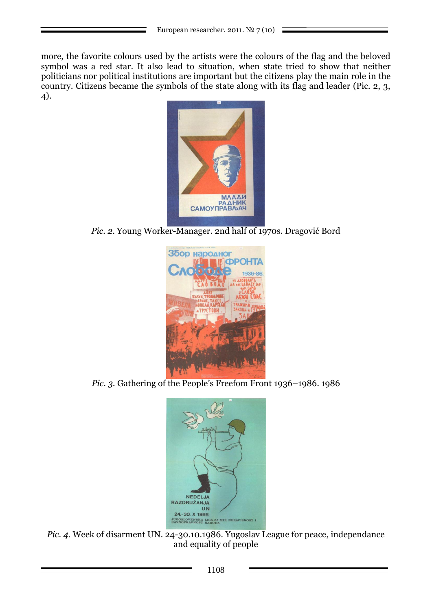more, the favorite colours used by the artists were the colours of the flag and the beloved symbol was a red star. It also lead to situation, when state tried to show that neither politicians nor political institutions are important but the citizens play the main role in the country. Citizens became the symbols of the state along with its flag and leader (Pic. 2, 3, 4).



*Pic. 2*. Young Worker-Manager. 2nd half of 1970s. Dragović Bord



*Pic. 3.* Gathering of the People's Freefom Front 1936–1986. 1986



*Pic. 4.* Week of disarment UN. 24-30.10.1986. Yugoslav League for peace, independance and equality of people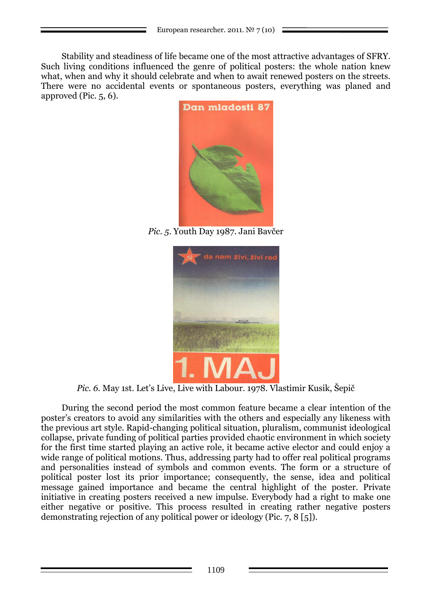Stability and steadiness of life became one of the most attractive advantages of SFRY. Such living conditions influenced the genre of political posters: the whole nation knew what, when and why it should celebrate and when to await renewed posters on the streets. There were no accidental events or spontaneous posters, everything was planed and approved (Pic. 5, 6).



*Pic. 5*. Youth Day 1987. Jani Bavčer



*Pic. 6.* May 1st. Let's Live, Live with Labour. 1978. Vlastimir Kusik, Šepič

During the second period the most common feature became a clear intention of the poster's creators to avoid any similarities with the others and especially any likeness with the previous art style. Rapid-changing political situation, pluralism, communist ideological collapse, private funding of political parties provided chaotic environment in which society for the first time started playing an active role, it became active elector and could enjoy a wide range of political motions. Thus, addressing party had to offer real political programs and personalities instead of symbols and common events. The form or a structure of political poster lost its prior importance; consequently, the sense, idea and political message gained importance and became the central highlight of the poster. Private initiative in creating posters received a new impulse. Everybody had a right to make one either negative or positive. This process resulted in creating rather negative posters demonstrating rejection of any political power or ideology (Pic. 7, 8 [5]).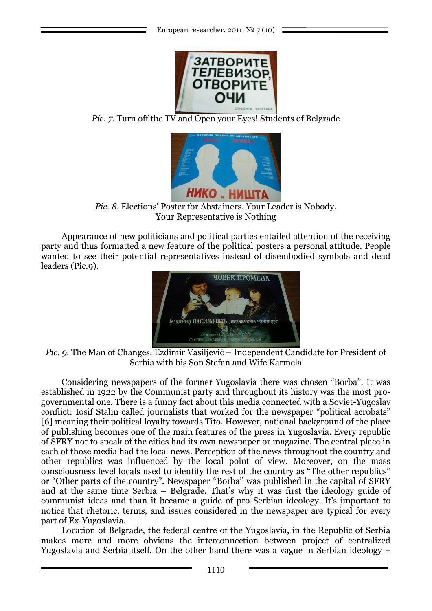

*Pic.* 7. Turn off the TV and Open your Eyes! Students of Belgrade



*Pic. 8.* Elections' Poster for Abstainers. Your Leader is Nobody. Your Representative is Nothing

Appearance of new politicians and political parties entailed attention of the receiving party and thus formatted a new feature of the political posters a personal attitude. People wanted to see their potential representatives instead of disembodied symbols and dead leaders (Pic.9).



*Pic. 9.* The Man of Changes. Ezdimir Vasiljević – Independent Candidate for President of Serbia with his Son Stefan and Wife Karmela

Considering newspapers of the former Yugoslavia there was chosen "Borba". It was established in 1922 by the Communist party and throughout its history was the most progovernmental one. There is a funny fact about this media connected with a Soviet-Yugoslav conflict: Iosif Stalin called journalists that worked for the newspaper "political acrobats" [6] meaning their political loyalty towards Tito. However, national background of the place of publishing becomes one of the main features of the press in Yugoslavia. Every republic of SFRY not to speak of the cities had its own newspaper or magazine. The central place in each of those media had the local news. Perception of the news throughout the country and other republics was influenced by the local point of view. Moreover, on the mass consciousness level locals used to identify the rest of the country as "The other republics" or "Other parts of the country". Newspaper "Borba" was published in the capital of SFRY and at the same time Serbia – Belgrade. That's why it was first the ideology guide of communist ideas and than it became a guide of pro-Serbian ideology. It's important to notice that rhetoric, terms, and issues considered in the newspaper are typical for every part of Ex-Yugoslavia.

Location of Belgrade, the federal centre of the Yugoslavia, in the Republic of Serbia makes more and more obvious the interconnection between project of centralized Yugoslavia and Serbia itself. On the other hand there was a vague in Serbian ideology –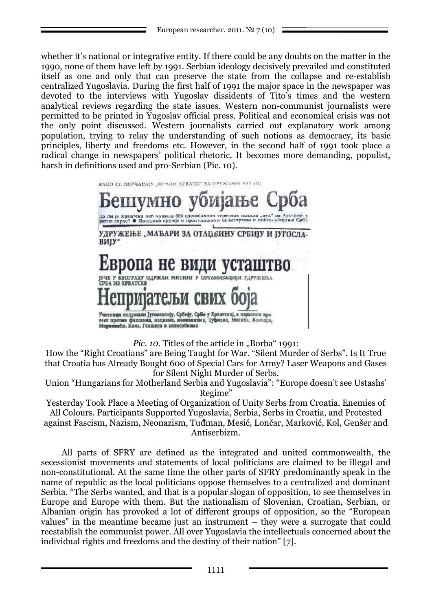whether it's national or integrative entity. If there could be any doubts on the matter in the 1990, none of them have left by 1991. Serbian ideology decisively prevailed and constituted itself as one and only that can preserve the state from the collapse and re-establish centralized Yugoslavia. During the first half of 1991 the major space in the newspaper was devoted to the interviews with Yugoslav dissidents of Tito's times and the western analytical reviews regarding the state issues. Western non-communist journalists were permitted to be printed in Yugoslav official press. Political and economical crisis was not the only point discussed. Western journalists carried out explanatory work among population, trying to relay the understanding of such notions as democracy, its basic principles, liberty and freedoms etc. However, in the second half of 1991 took place a radical change in newspapers' political rhetoric. It becomes more demanding, populist, harsh in definitions used and pro-Serbian (Pic. 10).



*Pic. 10.* Titles of the article in "Borba" 1991:

How the "Right Croatians" are Being Taught for War. "Silent Murder of Serbs". Is It True that Croatia has Already Bought 600 of Special Cars for Army? Laser Weapons and Gases for Silent Night Murder of Serbs.

Union "Hungarians for Motherland Serbia and Yugoslavia": "Europe doesn't see Ustashs' Regime"

Yesterday Took Place a Meeting of Organization of Unity Serbs from Croatia. Enemies of All Colours. Participants Supported Yugoslavia, Serbia, Serbs in Croatia, and Protested against Fascism, Nazism, Neonazism, Tuđman, Mesić, Lončar, Marković, Kol, Genšer and Antiserbizm.

All parts of SFRY are defined as the integrated and united commonwealth, the secessionist movements and statements of local politicians are claimed to be illegal and non-constitutional. At the same time the other parts of SFRY predominantly speak in the name of republic as the local politicians oppose themselves to a centralized and dominant Serbia. "The Serbs wanted, and that is a popular slogan of opposition, to see themselves in Europe and Europe with them. But the nationalism of Slovenian, Croatian, Serbian, or Albanian origin has provoked a lot of different groups of opposition, so the "European values" in the meantime became just an instrument – they were a surrogate that could reestablish the communist power. All over Yugoslavia the intellectuals concerned about the individual rights and freedoms and the destiny of their nation" [7].